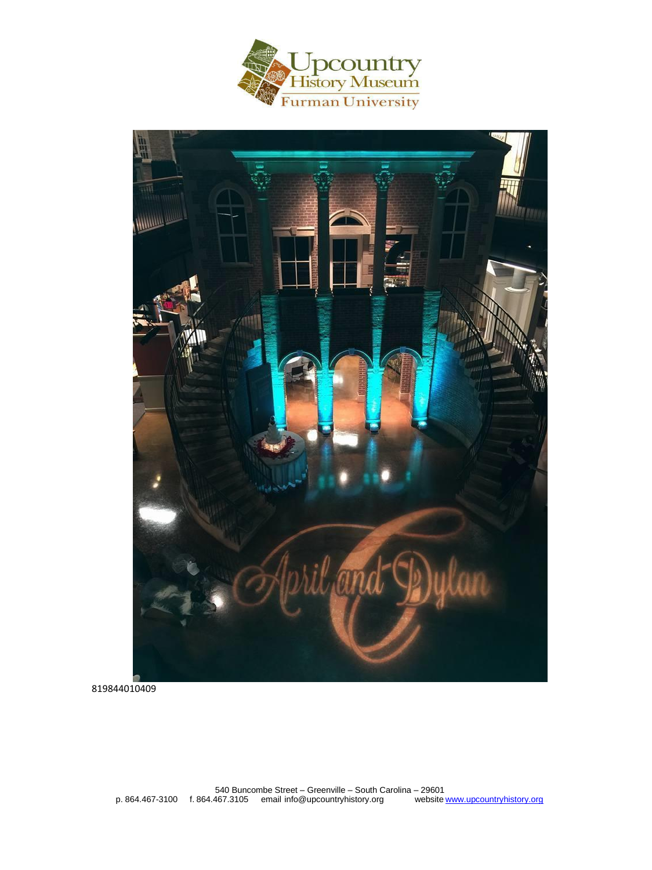



819844010409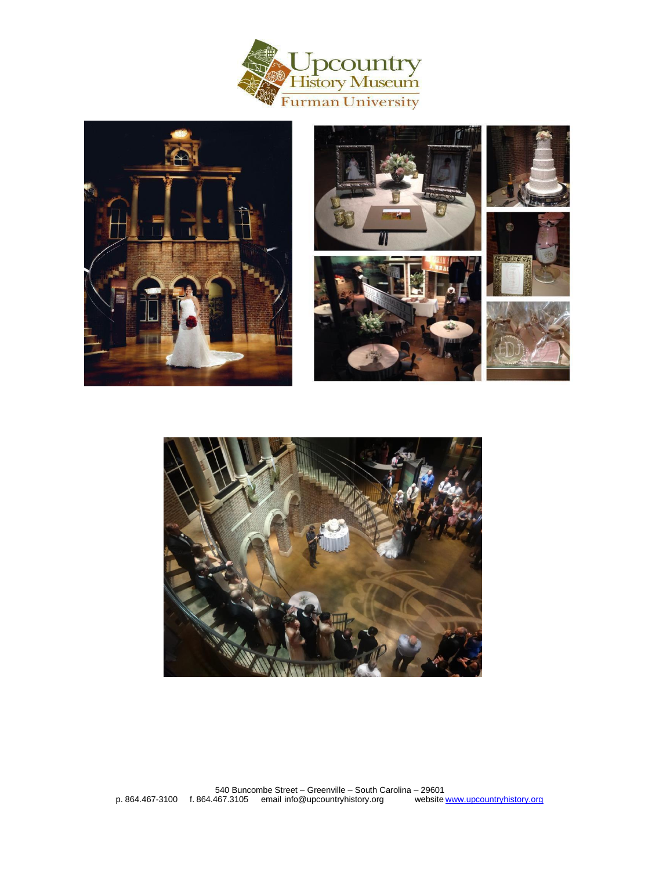











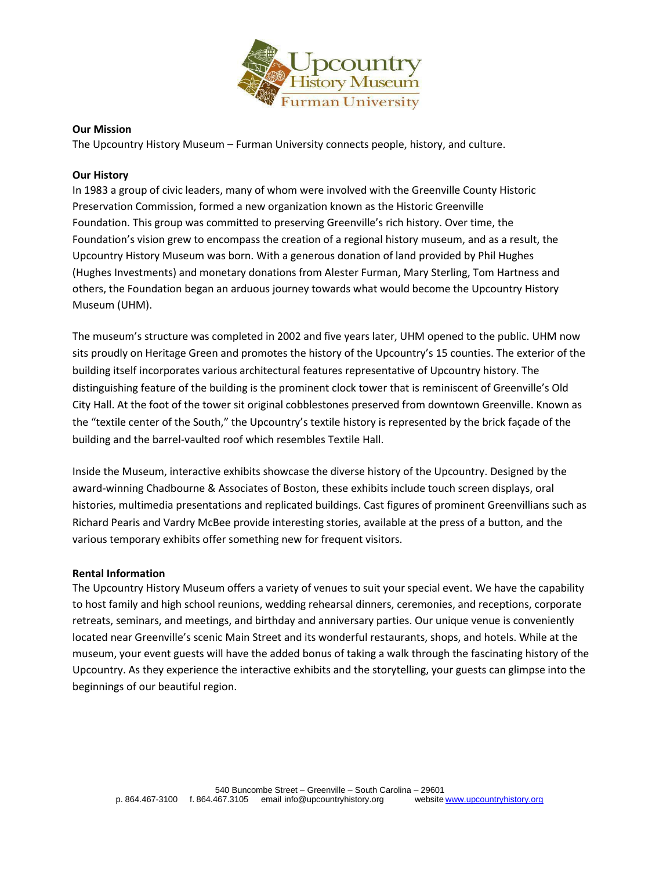

### **Our Mission**

The Upcountry History Museum – Furman University connects people, history, and culture.

### **Our History**

In 1983 a group of civic leaders, many of whom were involved with the Greenville County Historic Preservation Commission, formed a new organization known as the Historic Greenville Foundation. This group was committed to preserving Greenville's rich history. Over time, the Foundation's vision grew to encompass the creation of a regional history museum, and as a result, the Upcountry History Museum was born. With a generous donation of land provided by Phil Hughes (Hughes Investments) and monetary donations from Alester Furman, Mary Sterling, Tom Hartness and others, the Foundation began an arduous journey towards what would become the Upcountry History Museum (UHM).

The museum's structure was completed in 2002 and five years later, UHM opened to the public. UHM now sits proudly on Heritage Green and promotes the history of the Upcountry's 15 counties. The exterior of the building itself incorporates various architectural features representative of Upcountry history. The distinguishing feature of the building is the prominent clock tower that is reminiscent of Greenville's Old City Hall. At the foot of the tower sit original cobblestones preserved from downtown Greenville. Known as the "textile center of the South," the Upcountry's textile history is represented by the brick façade of the building and the barrel-vaulted roof which resembles Textile Hall.

Inside the Museum, interactive exhibits showcase the diverse history of the Upcountry. Designed by the award-winning Chadbourne & Associates of Boston, these exhibits include touch screen displays, oral histories, multimedia presentations and replicated buildings. Cast figures of prominent Greenvillians such as Richard Pearis and Vardry McBee provide interesting stories, available at the press of a button, and the various temporary exhibits offer something new for frequent visitors.

### **Rental Information**

The Upcountry History Museum offers a variety of venues to suit your special event. We have the capability to host family and high school reunions, wedding rehearsal dinners, ceremonies, and receptions, corporate retreats, seminars, and meetings, and birthday and anniversary parties. Our unique venue is conveniently located near Greenville's scenic Main Street and its wonderful restaurants, shops, and hotels. While at the museum, your event guests will have the added bonus of taking a walk through the fascinating history of the Upcountry. As they experience the interactive exhibits and the storytelling, your guests can glimpse into the beginnings of our beautiful region.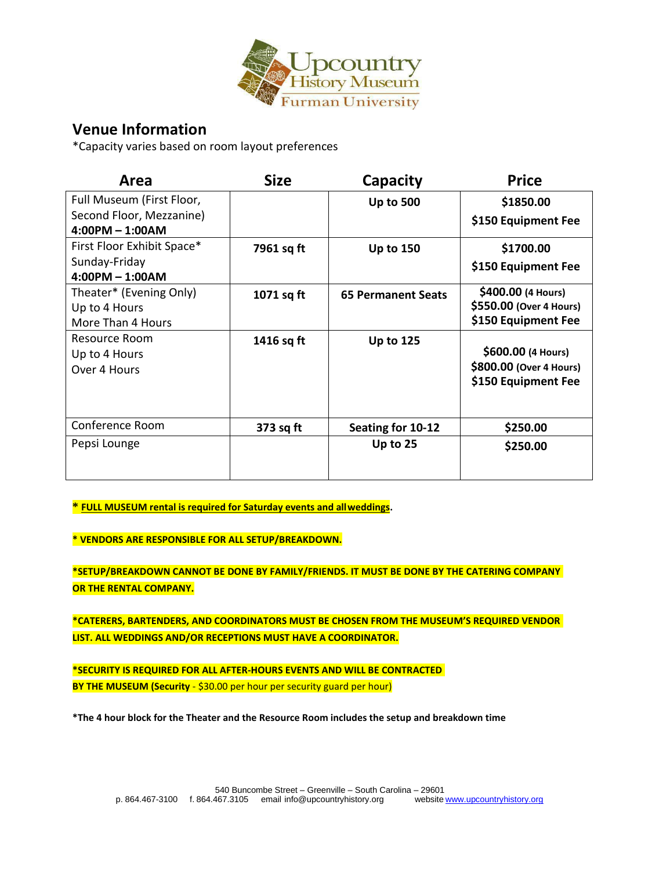

# **Venue Information**

\*Capacity varies based on room layout preferences

| Area                       | <b>Size</b> | Capacity                  | <b>Price</b>            |
|----------------------------|-------------|---------------------------|-------------------------|
| Full Museum (First Floor,  |             | <b>Up to 500</b>          | \$1850.00               |
| Second Floor, Mezzanine)   |             |                           | \$150 Equipment Fee     |
| $4:00PM - 1:00AM$          |             |                           |                         |
| First Floor Exhibit Space* | 7961 sq ft  | <b>Up to 150</b>          | \$1700.00               |
| Sunday-Friday              |             |                           | \$150 Equipment Fee     |
| $4:00PM - 1:00AM$          |             |                           |                         |
| Theater* (Evening Only)    | 1071 sq ft  | <b>65 Permanent Seats</b> | \$400.00 (4 Hours)      |
| Up to 4 Hours              |             |                           | \$550.00 (Over 4 Hours) |
| More Than 4 Hours          |             |                           | \$150 Equipment Fee     |
| Resource Room              | 1416 sq ft  | <b>Up to 125</b>          |                         |
| Up to 4 Hours              |             |                           | \$600.00 (4 Hours)      |
| Over 4 Hours               |             |                           | \$800.00 (Over 4 Hours) |
|                            |             |                           | \$150 Equipment Fee     |
|                            |             |                           |                         |
|                            |             |                           |                         |
| Conference Room            | 373 sq ft   | Seating for 10-12         | \$250.00                |
| Pepsi Lounge               |             | Up to 25                  | \$250.00                |
|                            |             |                           |                         |
|                            |             |                           |                         |

**\* FULL MUSEUM rental is required for Saturday events and allweddings.**

**\* VENDORS ARE RESPONSIBLE FOR ALL SETUP/BREAKDOWN.**

**\*SETUP/BREAKDOWN CANNOT BE DONE BY FAMILY/FRIENDS. IT MUST BE DONE BY THE CATERING COMPANY OR THE RENTAL COMPANY.**

**\*CATERERS, BARTENDERS, AND COORDINATORS MUST BE CHOSEN FROM THE MUSEUM'S REQUIRED VENDOR LIST. ALL WEDDINGS AND/OR RECEPTIONS MUST HAVE A COORDINATOR.**

**\*SECURITY IS REQUIRED FOR ALL AFTER-HOURS EVENTS AND WILL BE CONTRACTED BY THE MUSEUM (Security - \$30.00 per hour per security guard per hour)** 

**\*The 4 hour block for the Theater and the Resource Room includes the setup and breakdown time**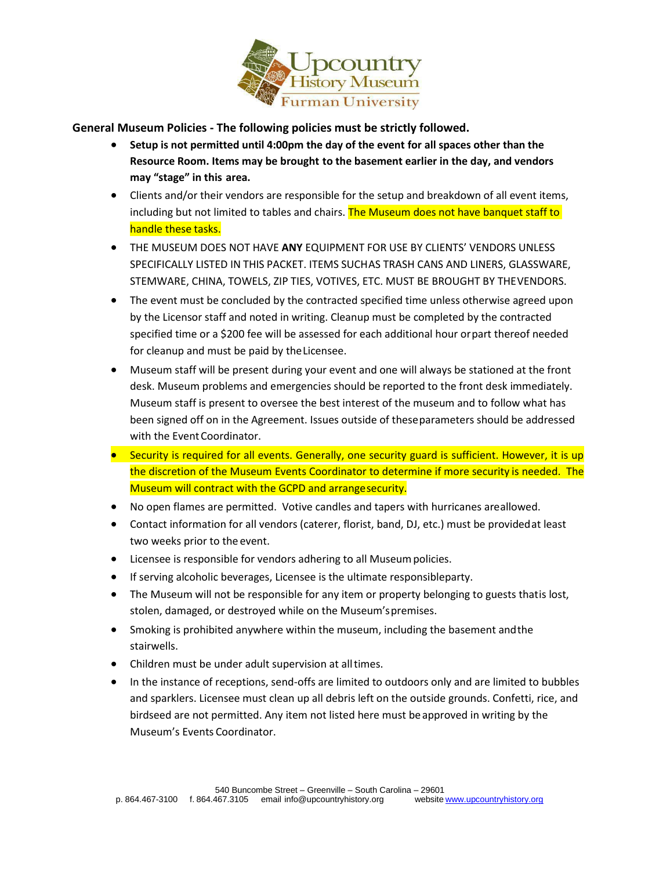

**General Museum Policies - The following policies must be strictly followed.**

- **Setup is not permitted until 4:00pm the day of the event for all spaces other than the Resource Room. Items may be brought to the basement earlier in the day, and vendors may "stage" in this area.**
- Clients and/or their vendors are responsible for the setup and breakdown of all event items, including but not limited to tables and chairs. The Museum does not have banquet staff to handle these tasks.
- THE MUSEUM DOES NOT HAVE **ANY** EQUIPMENT FOR USE BY CLIENTS' VENDORS UNLESS SPECIFICALLY LISTED IN THIS PACKET. ITEMS SUCHAS TRASH CANS AND LINERS, GLASSWARE, STEMWARE, CHINA, TOWELS, ZIP TIES, VOTIVES, ETC. MUST BE BROUGHT BY THEVENDORS.
- The event must be concluded by the contracted specified time unless otherwise agreed upon by the Licensor staff and noted in writing. Cleanup must be completed by the contracted specified time or a \$200 fee will be assessed for each additional hour orpart thereof needed for cleanup and must be paid by theLicensee.
- Museum staff will be present during your event and one will always be stationed at the front desk. Museum problems and emergencies should be reported to the front desk immediately. Museum staff is present to oversee the best interest of the museum and to follow what has been signed off on in the Agreement. Issues outside of theseparameters should be addressed with the Event Coordinator.
- Security is required for all events. Generally, one security guard is sufficient. However, it is up the discretion of the Museum Events Coordinator to determine if more security is needed. The Museum will contract with the GCPD and arrangesecurity.
- No open flames are permitted. Votive candles and tapers with hurricanes areallowed.
- Contact information for all vendors (caterer, florist, band, DJ, etc.) must be providedat least two weeks prior to the event.
- Licensee is responsible for vendors adhering to all Museum policies.
- If serving alcoholic beverages, Licensee is the ultimate responsibleparty.
- The Museum will not be responsible for any item or property belonging to guests thatis lost, stolen, damaged, or destroyed while on the Museum'spremises.
- Smoking is prohibited anywhere within the museum, including the basement andthe stairwells.
- Children must be under adult supervision at alltimes.
- In the instance of receptions, send-offs are limited to outdoors only and are limited to bubbles and sparklers. Licensee must clean up all debris left on the outside grounds. Confetti, rice, and birdseed are not permitted. Any item not listed here must beapproved in writing by the Museum's Events Coordinator.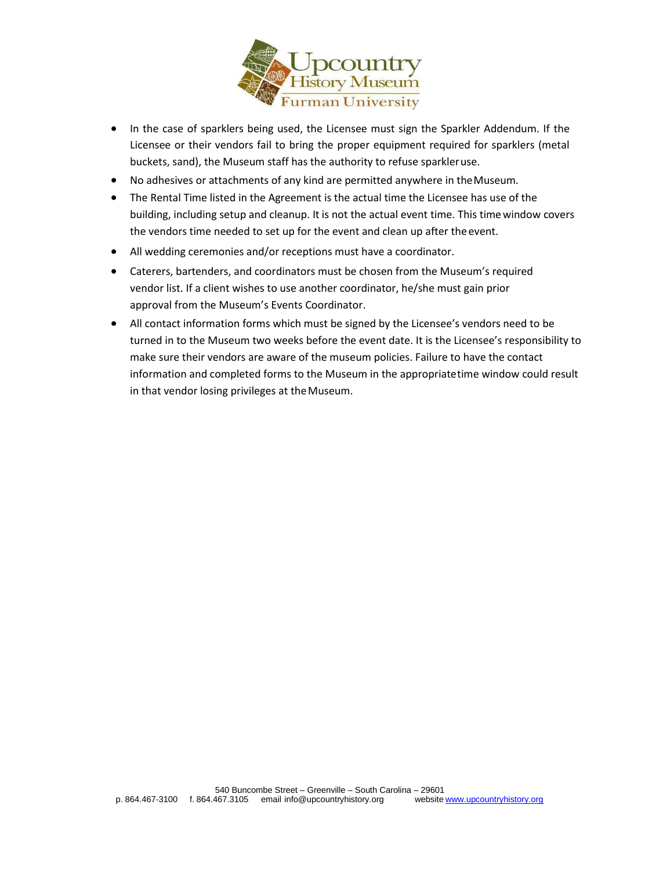

- In the case of sparklers being used, the Licensee must sign the Sparkler Addendum. If the Licensee or their vendors fail to bring the proper equipment required for sparklers (metal buckets, sand), the Museum staff has the authority to refuse sparkleruse.
- No adhesives or attachments of any kind are permitted anywhere in theMuseum.
- The Rental Time listed in the Agreement is the actual time the Licensee has use of the building, including setup and cleanup. It is not the actual event time. This timewindow covers the vendors time needed to set up for the event and clean up after theevent.
- All wedding ceremonies and/or receptions must have a coordinator.
- Caterers, bartenders, and coordinators must be chosen from the Museum's required vendor list. If a client wishes to use another coordinator, he/she must gain prior approval from the Museum's Events Coordinator.
- All contact information forms which must be signed by the Licensee's vendors need to be turned in to the Museum two weeks before the event date. It is the Licensee's responsibility to make sure their vendors are aware of the museum policies. Failure to have the contact information and completed forms to the Museum in the appropriatetime window could result in that vendor losing privileges at theMuseum.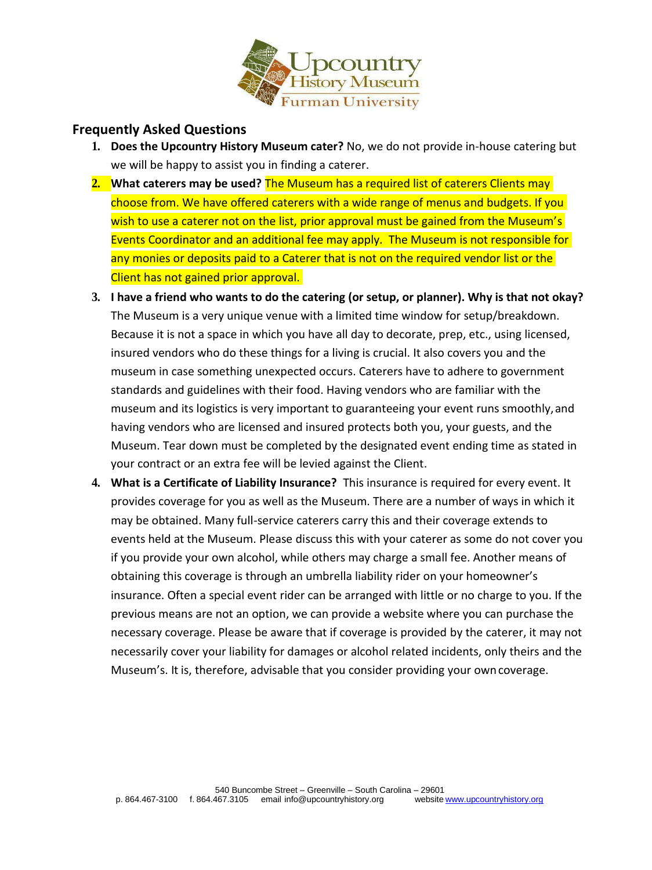

## **Frequently Asked Questions**

- **1. Does the Upcountry History Museum cater?** No, we do not provide in-house catering but we will be happy to assist you in finding a caterer.
- **2. What caterers may be used?** The Museum has a required list of caterers Clients may choose from. We have offered caterers with a wide range of menus and budgets. If you wish to use a caterer not on the list, prior approval must be gained from the Museum's Events Coordinator and an additional fee may apply. The Museum is not responsible for any monies or deposits paid to a Caterer that is not on the required vendor list or the Client has not gained prior approval.
- **3. I have a friend who wants to do the catering (or setup, or planner). Why is that not okay?**  The Museum is a very unique venue with a limited time window for setup/breakdown. Because it is not a space in which you have all day to decorate, prep, etc., using licensed, insured vendors who do these things for a living is crucial. It also covers you and the museum in case something unexpected occurs. Caterers have to adhere to government standards and guidelines with their food. Having vendors who are familiar with the museum and its logistics is very important to guaranteeing your event runs smoothly,and having vendors who are licensed and insured protects both you, your guests, and the Museum. Tear down must be completed by the designated event ending time as stated in your contract or an extra fee will be levied against the Client.
- **4. What is a Certificate of Liability Insurance?** This insurance is required for every event. It provides coverage for you as well as the Museum. There are a number of ways in which it may be obtained. Many full-service caterers carry this and their coverage extends to events held at the Museum. Please discuss this with your caterer as some do not cover you if you provide your own alcohol, while others may charge a small fee. Another means of obtaining this coverage is through an umbrella liability rider on your homeowner's insurance. Often a special event rider can be arranged with little or no charge to you. If the previous means are not an option, we can provide a website where you can purchase the necessary coverage. Please be aware that if coverage is provided by the caterer, it may not necessarily cover your liability for damages or alcohol related incidents, only theirs and the Museum's. It is, therefore, advisable that you consider providing your owncoverage.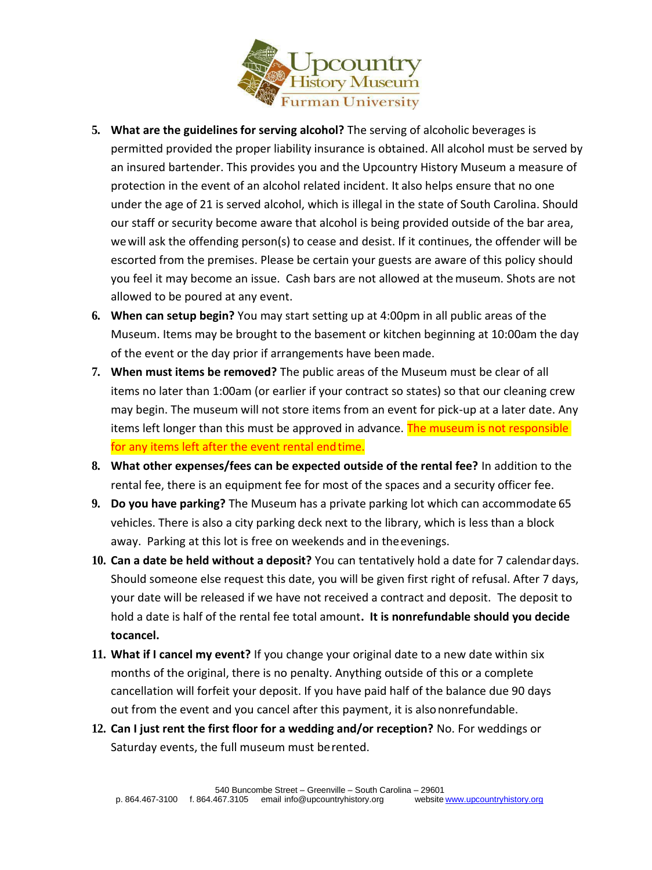

- **5. What are the guidelines for serving alcohol?** The serving of alcoholic beverages is permitted provided the proper liability insurance is obtained. All alcohol must be served by an insured bartender. This provides you and the Upcountry History Museum a measure of protection in the event of an alcohol related incident. It also helps ensure that no one under the age of 21 is served alcohol, which is illegal in the state of South Carolina. Should our staff or security become aware that alcohol is being provided outside of the bar area, wewill ask the offending person(s) to cease and desist. If it continues, the offender will be escorted from the premises. Please be certain your guests are aware of this policy should you feel it may become an issue. Cash bars are not allowed at themuseum. Shots are not allowed to be poured at any event.
- **6. When can setup begin?** You may start setting up at 4:00pm in all public areas of the Museum. Items may be brought to the basement or kitchen beginning at 10:00am the day of the event or the day prior if arrangements have beenmade.
- **7. When must items be removed?** The public areas of the Museum must be clear of all items no later than 1:00am (or earlier if your contract so states) so that our cleaning crew may begin. The museum will not store items from an event for pick-up at a later date. Any items left longer than this must be approved in advance. The museum is not responsible for any items left after the event rental endtime.
- **8. What other expenses/fees can be expected outside of the rental fee?** In addition to the rental fee, there is an equipment fee for most of the spaces and a security officer fee.
- **9. Do you have parking?** The Museum has a private parking lot which can accommodate 65 vehicles. There is also a city parking deck next to the library, which is less than a block away. Parking at this lot is free on weekends and in theevenings.
- **10. Can a date be held without a deposit?** You can tentatively hold a date for 7 calendardays. Should someone else request this date, you will be given first right of refusal. After 7 days, your date will be released if we have not received a contract and deposit. The deposit to hold a date is half of the rental fee total amount**. It is nonrefundable should you decide tocancel.**
- **11. What if I cancel my event?** If you change your original date to a new date within six months of the original, there is no penalty. Anything outside of this or a complete cancellation will forfeit your deposit. If you have paid half of the balance due 90 days out from the event and you cancel after this payment, it is alsononrefundable.
- **12. Can I just rent the first floor for a wedding and/or reception?** No. For weddings or Saturday events, the full museum must berented.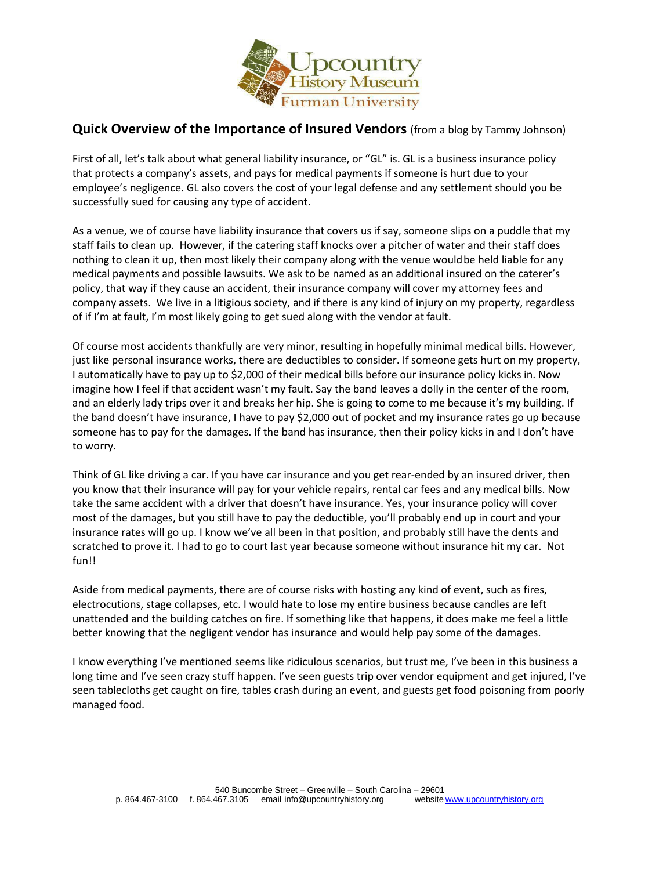

## **Quick Overview of the Importance of Insured Vendors** (from a blog by Tammy Johnson)

First of all, let's talk about what general liability insurance, or "GL" is. GL is a business insurance policy that protects a company's assets, and pays for medical payments if someone is hurt due to your employee's negligence. GL also covers the cost of your legal defense and any settlement should you be successfully sued for causing any type of accident.

As a venue, we of course have liability insurance that covers us if say, someone slips on a puddle that my staff fails to clean up. However, if the catering staff knocks over a pitcher of water and their staff does nothing to clean it up, then most likely their company along with the venue wouldbe held liable for any medical payments and possible lawsuits. We ask to be named as an additional insured on the caterer's policy, that way if they cause an accident, their insurance company will cover my attorney fees and company assets. We live in a litigious society, and if there is any kind of injury on my property, regardless of if I'm at fault, I'm most likely going to get sued along with the vendor at fault.

Of course most accidents thankfully are very minor, resulting in hopefully minimal medical bills. However, just like personal insurance works, there are deductibles to consider. If someone gets hurt on my property, I automatically have to pay up to \$2,000 of their medical bills before our insurance policy kicks in. Now imagine how I feel if that accident wasn't my fault. Say the band leaves a dolly in the center of the room, and an elderly lady trips over it and breaks her hip. She is going to come to me because it's my building. If the band doesn't have insurance, I have to pay \$2,000 out of pocket and my insurance rates go up because someone has to pay for the damages. If the band has insurance, then their policy kicks in and I don't have to worry.

Think of GL like driving a car. If you have car insurance and you get rear-ended by an insured driver, then you know that their insurance will pay for your vehicle repairs, rental car fees and any medical bills. Now take the same accident with a driver that doesn't have insurance. Yes, your insurance policy will cover most of the damages, but you still have to pay the deductible, you'll probably end up in court and your insurance rates will go up. I know we've all been in that position, and probably still have the dents and scratched to prove it. I had to go to court last year because someone without insurance hit my car. Not fun!!

Aside from medical payments, there are of course risks with hosting any kind of event, such as fires, electrocutions, stage collapses, etc. I would hate to lose my entire business because candles are left unattended and the building catches on fire. If something like that happens, it does make me feel a little better knowing that the negligent vendor has insurance and would help pay some of the damages.

I know everything I've mentioned seems like ridiculous scenarios, but trust me, I've been in this business a long time and I've seen crazy stuff happen. I've seen guests trip over vendor equipment and get injured, I've seen tablecloths get caught on fire, tables crash during an event, and guests get food poisoning from poorly managed food.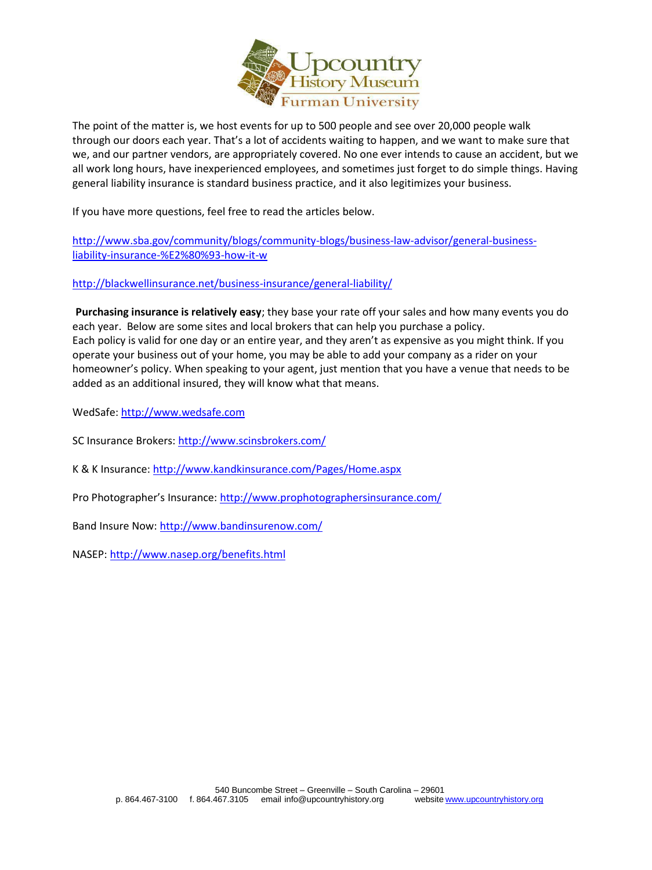

 The point of the matter is, we host events for up to 500 people and see over 20,000 people walk through our doors each year. That's a lot of accidents waiting to happen, and we want to make sure that we, and our partner vendors, are appropriately covered. No one ever intends to cause an accident, but we all work long hours, have inexperienced employees, and sometimes just forget to do simple things. Having general liability insurance is standard business practice, and it also legitimizes your business.

If you have more questions, feel free to read the articles below.

[http://www.sba.gov/community/blogs/community-blogs/business-law-advisor/general-business](http://www.sba.gov/community/blogs/community-blogs/business-law-advisor/general-business-liability-insurance-%E2%80%93-how-it-w)[liability-insurance-%E2%80%93-how-it-w](http://www.sba.gov/community/blogs/community-blogs/business-law-advisor/general-business-liability-insurance-%E2%80%93-how-it-w)

<http://blackwellinsurance.net/business-insurance/general-liability/>

**Purchasing insurance is relatively easy**; they base your rate off your sales and how many events you do each year. Below are some sites and local brokers that can help you purchase a policy. Each policy is valid for one day or an entire year, and they aren't as expensive as you might think. If you operate your business out of your home, you may be able to add your company as a rider on your homeowner's policy. When speaking to your agent, just mention that you have a venue that needs to be added as an additional insured, they will know what that means.

WedSafe[: http://www.wedsafe.com](http://www.wedsafe.com/)

SC Insurance Brokers:<http://www.scinsbrokers.com/>

K & K Insurance[: http://www.kandkinsurance.com/Pages/Home.aspx](http://www.kandkinsurance.com/Pages/Home.aspx)

Pro Photographer's Insurance: <http://www.prophotographersinsurance.com/>

Band Insure Now:<http://www.bandinsurenow.com/>

NASEP:<http://www.nasep.org/benefits.html>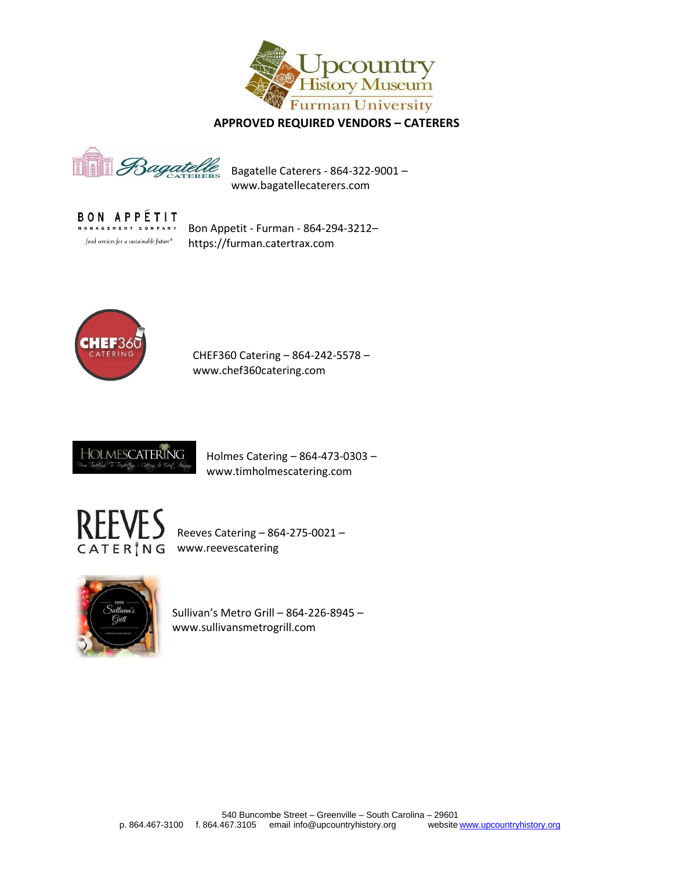

 **APPROVED REQUIRED VENDORS – CATERERS**

Bagate

Bagatelle Caterers - 864-322-9001 – www.bagatellecaterers.com

**BON APPÉTIT** MANAGEMENT COMPANY food services for a sustainable future  $^\circ$ 

Bon Appetit - Furman - 864-294-3212– https://furman.catertrax.com



CHEF360 Catering – 864-242-5578 – www.chef360catering.com



Holmes Catering – 864-473-0303 – www.timholmescatering.com



Reeves Catering – 864-275-0021 – CATER<sup>'</sup>NG www.reevescatering



Sullivan's Metro Grill – 864-226-8945 – www.sullivansmetrogrill.com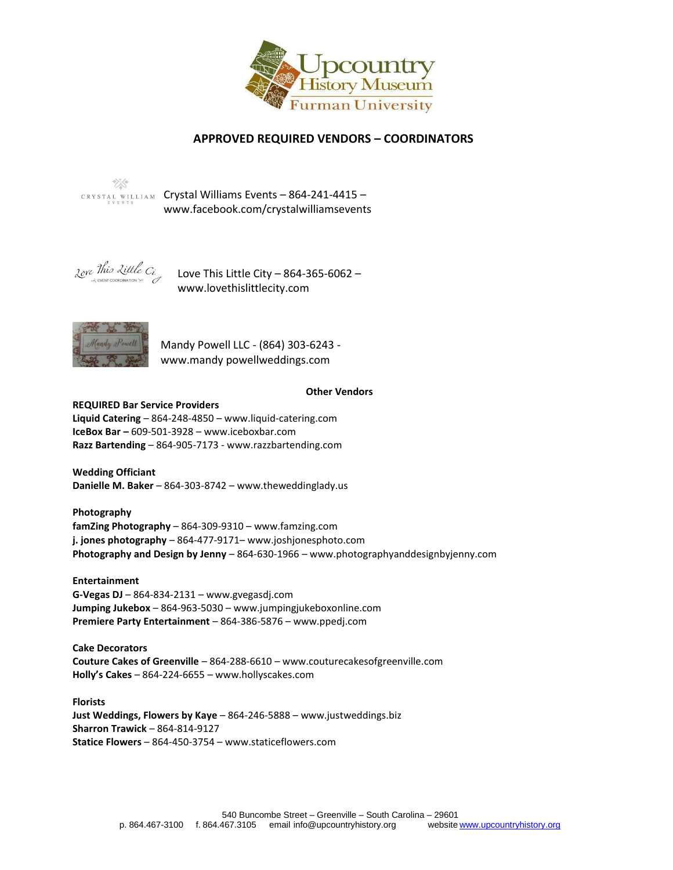

## **APPROVED REQUIRED VENDORS – COORDINATORS**



CRYSTAL WILLIAM Crystal Williams Events - 864-241-4415 [www.facebook.com/crystalw](http://www.facebook.com/crystal)illiamsevents



Love This Little City – 864-365-6062 – www.lovethislittlecity.com



Mandy Powell LLC - (864) 303-6243 www.mandy powellweddings.com

#### **Other Vendors**

#### REQUIRED Bar Service Providers

**Liquid Catering** – 864-248-4850 – www.liquid-catering.com **IceBox Bar –** 609-501-3928 – [www.iceboxbar.com](http://www.iceboxbar.com/) **Razz Bartending** – 864-905-7173 - www.razzbartending.com m/

**Wedding Officiant Danielle M. Baker** – 864-303-8742 – www.theweddinglady.us

**Photography famZing Photography** – 864-309-9310 – [www.famzing.com](http://www.famzing.com/) **j. jones photography** – 864-477-9171– www.joshjonesphoto.com **Photography and Design by Jenny** – 864-630-1966 – www.photographyanddesignbyjenny.com

**Entertainment G-Vegas DJ** – 864-834-2131 – www.gvegasdj.com **Jumping Jukebox** – 864-963-5030 – [www.jumpingjukeboxonline.com](http://www.jumpingjukeboxonline.com/) **Premiere Party Entertainment** – 864-386-5876 – www.ppedj.com

**Cake Decorators Couture Cakes of Greenville** – 864-288-6610 – [www.couturecakesofgreenville.com](http://www.couturecakesofgreenville.com/) **Holly's Cakes** – 864-224-6655 – www.hollyscakes.com

**Florists Just Weddings, Flowers by Kaye** – 864-246-5888 – www.justweddings.biz **Sharron Trawick** – 864-814-9127 **Statice Flowers** – 864-450-3754 – www.staticeflowers.com